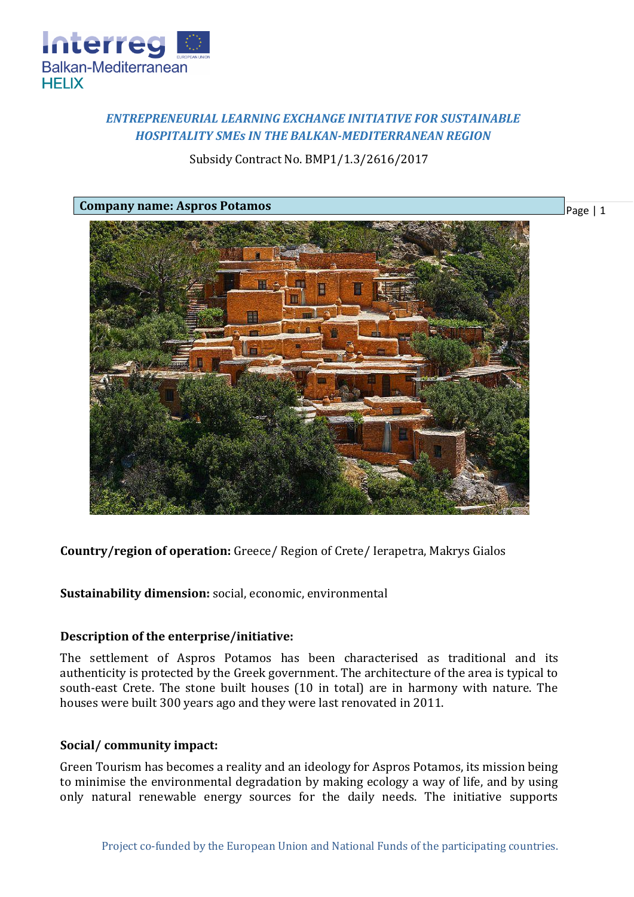

# *ENTREPRENEURIAL LEARNING EXCHANGE INITIATIVE FOR SUSTAINABLE HOSPITALITY SMEs IN THE BALKAN-MEDITERRANEAN REGION*

## Subsidy Contract No. BMP1/1.3/2616/2017

Page | 1



**Country/region of operation:** Greece/ Region of Crete/ Ierapetra, Makrys Gialos

**Sustainability dimension:** social, economic, environmental

### **Description of the enterprise/initiative:**

The settlement of Aspros Potamos has been characterised as traditional and its authenticity is protected by the Greek government. The architecture of the area is typical to south-east Crete. The stone built houses (10 in total) are in harmony with nature. The houses were built 300 years ago and they were last renovated in 2011.

#### **Social/ community impact:**

Green Tourism has becomes a reality and an ideology for Aspros Potamos, its mission being to minimise the environmental degradation by making ecology a way of life, and by using only natural renewable energy sources for the daily needs. The initiative supports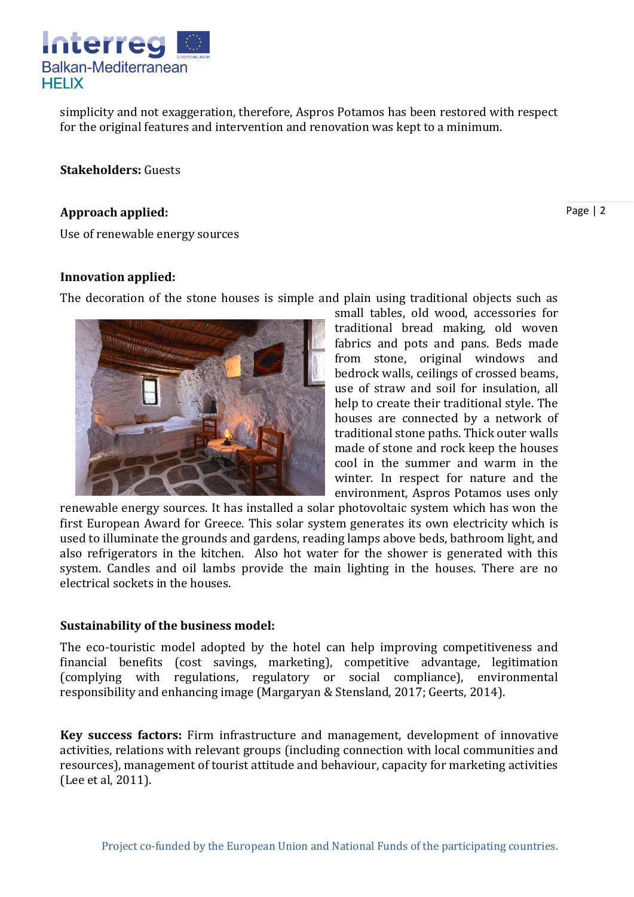

simplicity and not exaggeration, therefore, Aspros Potamos has been restored with respect for the original features and intervention and renovation was kept to a minimum.

**Stakeholders:** Guests

#### **Approach applied:**

Page | 2

Use of renewable energy sources

#### **Innovation applied:**

The decoration of the stone houses is simple and plain using traditional objects such as



small tables, old wood, accessories for traditional bread making, old woven fabrics and pots and pans. Beds made from stone, original windows and bedrock walls, ceilings of crossed beams, use of straw and soil for insulation, all help to create their traditional style. The houses are connected by a network of traditional stone paths. Thick outer walls made of stone and rock keep the houses cool in the summer and warm in the winter. In respect for nature and the environment, Aspros Potamos uses only

renewable energy sources. It has installed a solar photovoltaic system which has won the first European Award for Greece. This solar system generates its own electricity which is used to illuminate the grounds and gardens, reading lamps above beds, bathroom light, and also refrigerators in the kitchen. Also hot water for the shower is generated with this system. Candles and oil lambs provide the main lighting in the houses. There are no electrical sockets in the houses.

#### **Sustainability of the business model:**

The eco-touristic model adopted by the hotel can help improving competitiveness and financial benefits (cost savings, marketing), competitive advantage, legitimation (complying with regulations, regulatory or social compliance), environmental responsibility and enhancing image (Margaryan & Stensland, 2017; Geerts, 2014).

**Key success factors:** Firm infrastructure and management, development of innovative activities, relations with relevant groups (including connection with local communities and resources), management of tourist attitude and behaviour, capacity for marketing activities (Lee et al, 2011).